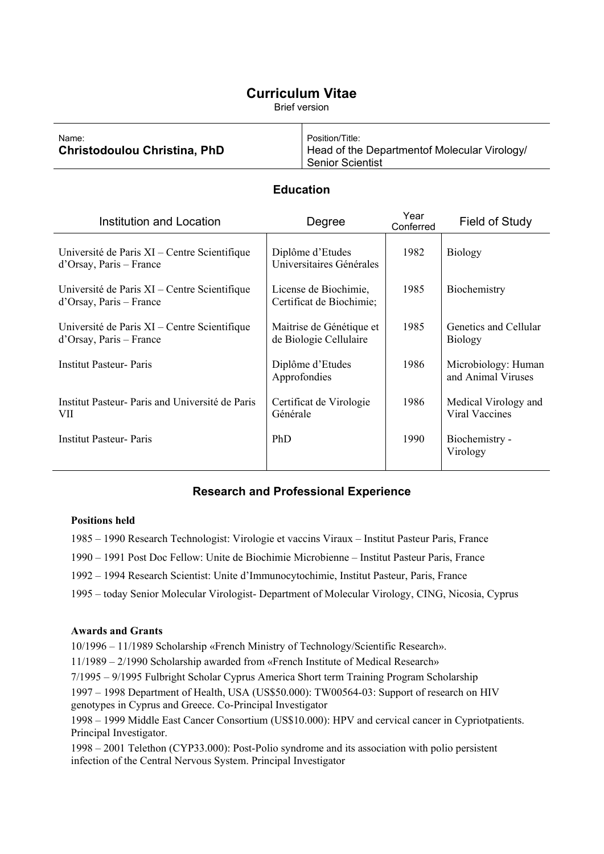# **Curriculum Vitae**

Brief version

| Name:                               | Position/Title:                              |
|-------------------------------------|----------------------------------------------|
| <b>Christodoulou Christina, PhD</b> | Head of the Departmentof Molecular Virology/ |
|                                     | Senior Scientist                             |

### **Education**

| <b>Institution and Location</b>                                         | Degree                                             | Year<br>Conferred | Field of Study                            |
|-------------------------------------------------------------------------|----------------------------------------------------|-------------------|-------------------------------------------|
| Université de Paris XI – Centre Scientifique<br>d'Orsay, Paris – France | Diplôme d'Etudes<br>Universitaires Générales       | 1982              | <b>Biology</b>                            |
| Université de Paris XI – Centre Scientifique<br>d'Orsay, Paris – France | License de Biochimie,<br>Certificat de Biochimie;  | 1985              | Biochemistry                              |
| Université de Paris XI – Centre Scientifique<br>d'Orsay, Paris – France | Maitrise de Génétique et<br>de Biologie Cellulaire | 1985              | Genetics and Cellular<br><b>Biology</b>   |
| <b>Institut Pasteur- Paris</b>                                          | Diplôme d'Etudes<br>Approfondies                   | 1986              | Microbiology: Human<br>and Animal Viruses |
| Institut Pasteur- Paris and Université de Paris<br>VII                  | Certificat de Virologie<br>Générale                | 1986              | Medical Virology and<br>Viral Vaccines    |
| <b>Institut Pasteur- Paris</b>                                          | PhD                                                | 1990              | Biochemistry -<br>Virology                |

### **Research and Professional Experience**

#### **Positions held**

1985 – 1990 Research Technologist: Virologie et vaccins Viraux – Institut Pasteur Paris, France 1990 – 1991 Post Doc Fellow: Unite de Biochimie Microbienne – Institut Pasteur Paris, France 1992 – 1994 Research Scientist: Unite d'Immunocytochimie, Institut Pasteur, Paris, France 1995 – today Senior Molecular Virologist- Department of Molecular Virology, CING, Nicosia, Cyprus

### **Awards and Grants**

10/1996 – 11/1989 Scholarship «French Ministry of Technology/Scientific Research».

11/1989 – 2/1990 Scholarship awarded from «French Institute of Medical Research»

7/1995 – 9/1995 Fulbright Scholar Cyprus America Short term Training Program Scholarship 1997 – 1998 Department of Health, USA (US\$50.000): TW00564-03: Support of research on HIV genotypes in Cyprus and Greece. Co-Principal Investigator

1998 – 1999 Middle East Cancer Consortium (US\$10.000): HPV and cervical cancer in Cypriotpatients. Principal Investigator.

1998 – 2001 Telethon (CYP33.000): Post-Polio syndrome and its association with polio persistent infection of the Central Nervous System. Principal Investigator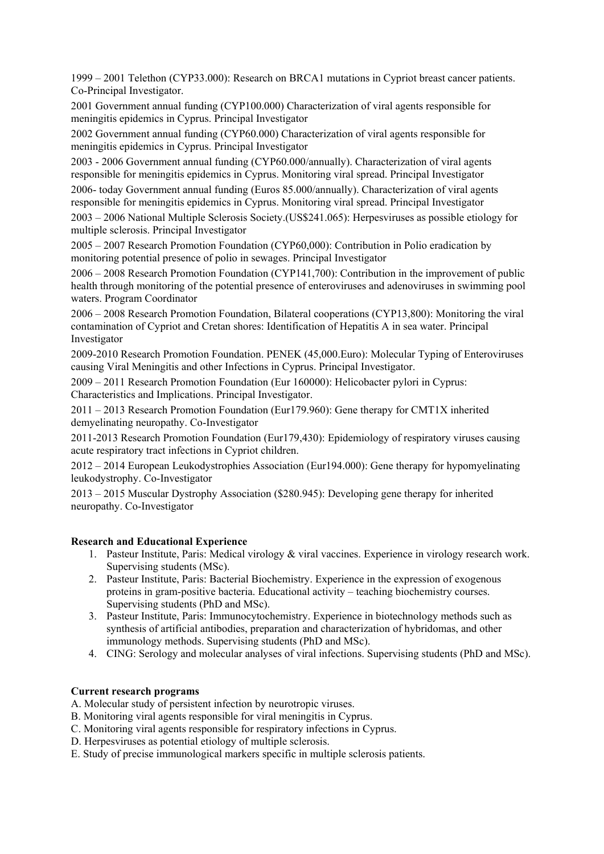1999 – 2001 Telethon (CYP33.000): Research on BRCA1 mutations in Cypriot breast cancer patients. Co-Principal Investigator.

2001 Government annual funding (CYP100.000) Characterization of viral agents responsible for meningitis epidemics in Cyprus. Principal Investigator

2002 Government annual funding (CYP60.000) Characterization of viral agents responsible for meningitis epidemics in Cyprus. Principal Investigator

2003 - 2006 Government annual funding (CYP60.000/annually). Characterization of viral agents responsible for meningitis epidemics in Cyprus. Monitoring viral spread. Principal Investigator

2006- today Government annual funding (Euros 85.000/annually). Characterization of viral agents responsible for meningitis epidemics in Cyprus. Monitoring viral spread. Principal Investigator

2003 – 2006 National Multiple Sclerosis Society.(US\$241.065): Herpesviruses as possible etiology for multiple sclerosis. Principal Investigator

2005 – 2007 Research Promotion Foundation (CYP60,000): Contribution in Polio eradication by monitoring potential presence of polio in sewages. Principal Investigator

2006 – 2008 Research Promotion Foundation (CYP141,700): Contribution in the improvement of public health through monitoring of the potential presence of enteroviruses and adenoviruses in swimming pool waters. Program Coordinator

2006 – 2008 Research Promotion Foundation, Bilateral cooperations (CYP13,800): Monitoring the viral contamination of Cypriot and Cretan shores: Identification of Hepatitis A in sea water. Principal Investigator

2009-2010 Research Promotion Foundation. PENEK (45,000.Euro): Molecular Typing of Enteroviruses causing Viral Meningitis and other Infections in Cyprus. Principal Investigator.

2009 – 2011 Research Promotion Foundation (Eur 160000): Helicobacter pylori in Cyprus: Characteristics and Implications. Principal Investigator.

2011 – 2013 Research Promotion Foundation (Eur179.960): Gene therapy for CMT1X inherited demyelinating neuropathy. Co-Investigator

2011-2013 Research Promotion Foundation (Eur179,430): Epidemiology of respiratory viruses causing acute respiratory tract infections in Cypriot children.

2012 – 2014 European Leukodystrophies Association (Eur194.000): Gene therapy for hypomyelinating leukodystrophy. Co-Investigator

2013 – 2015 Muscular Dystrophy Association (\$280.945): Developing gene therapy for inherited neuropathy. Co-Investigator

### **Research and Educational Experience**

- 1. Pasteur Institute, Paris: Medical virology & viral vaccines. Experience in virology research work. Supervising students (MSc).
- 2. Pasteur Institute, Paris: Bacterial Biochemistry. Experience in the expression of exogenous proteins in gram-positive bacteria. Educational activity – teaching biochemistry courses. Supervising students (PhD and MSc).
- 3. Pasteur Institute, Paris: Immunocytochemistry. Experience in biotechnology methods such as synthesis of artificial antibodies, preparation and characterization of hybridomas, and other immunology methods. Supervising students (PhD and MSc).
- 4. CING: Serology and molecular analyses of viral infections. Supervising students (PhD and MSc).

### **Current research programs**

A. Molecular study of persistent infection by neurotropic viruses.

- B. Monitoring viral agents responsible for viral meningitis in Cyprus.
- C. Monitoring viral agents responsible for respiratory infections in Cyprus.
- D. Herpesviruses as potential etiology of multiple sclerosis.
- E. Study of precise immunological markers specific in multiple sclerosis patients.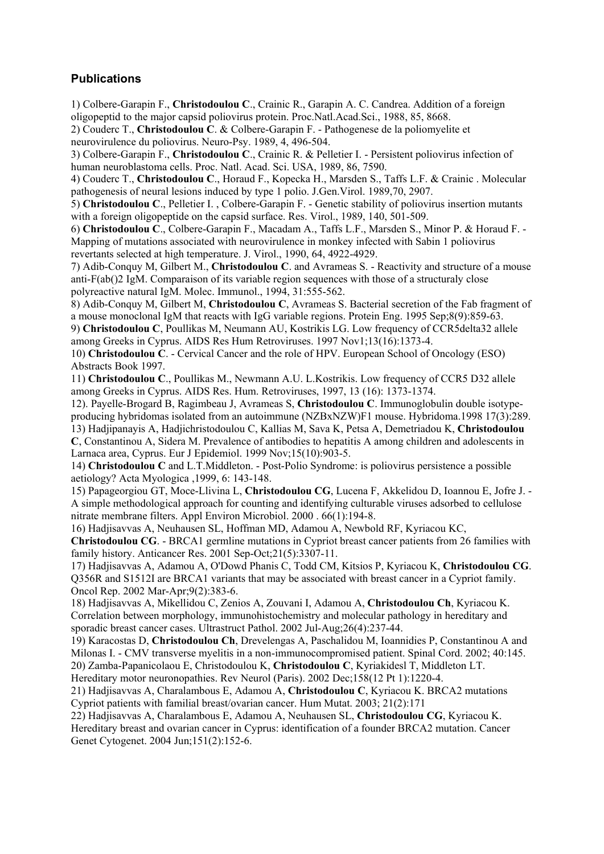## **Publications**

1) Colbere-Garapin F., **Christodoulou C**., Crainic R., Garapin A. C. Candrea. Addition of a foreign oligopeptid to the major capsid poliovirus protein. Proc.Natl.Acad.Sci., 1988, 85, 8668.

2) Couderc T., **Christodoulou C**. & Colbere-Garapin F. - Pathogenese de la poliomyelite et

neurovirulence du poliovirus. Neuro-Psy. 1989, 4, 496-504.

3) Colbere-Garapin F., **Christodoulou C**., Crainic R. & Pelletier I. - Persistent poliovirus infection of human neuroblastoma cells. Proc. Natl. Acad. Sci. USA, 1989, 86, 7590.

4) Couderc T., **Christodoulou C**., Horaud F., Kopecka H., Marsden S., Taffs L.F. & Crainic . Molecular pathogenesis of neural lesions induced by type 1 polio. J.Gen.Virol. 1989,70, 2907.

5) **Christodoulou C**., Pelletier I. , Colbere-Garapin F. - Genetic stability of poliovirus insertion mutants with a foreign oligopeptide on the capsid surface. Res. Virol., 1989, 140, 501-509.

6) **Christodoulou C**., Colbere-Garapin F., Macadam A., Taffs L.F., Marsden S., Minor P. & Horaud F. - Mapping of mutations associated with neurovirulence in monkey infected with Sabin 1 poliovirus revertants selected at high temperature. J. Virol., 1990, 64, 4922-4929.

7) Adib-Conquy M, Gilbert M., **Christodoulou C**. and Avrameas S. - Reactivity and structure of a mouse anti-F(ab()2 IgM. Comparaison of its variable region sequences with those of a structuraly close polyreactive natural IgM. Molec. Immunol., 1994, 31:555-562.

8) Adib-Conquy M, Gilbert M, **Christodoulou C**, Avrameas S. Bacterial secretion of the Fab fragment of a mouse monoclonal IgM that reacts with IgG variable regions. Protein Eng. 1995 Sep;8(9):859-63.

9) **Christodoulou C**, Poullikas M, Neumann AU, Kostrikis LG. Low frequency of CCR5delta32 allele among Greeks in Cyprus. AIDS Res Hum Retroviruses. 1997 Nov1;13(16):1373-4.

10) **Christodoulou C**. - Cervical Cancer and the role of HPV. European School of Oncology (ESO) Abstracts Book 1997.

11) **Christodoulou C**., Poullikas M., Newmann A.U. L.Kostrikis. Low frequency of CCR5 D32 allele among Greeks in Cyprus. AIDS Res. Hum. Retroviruses, 1997, 13 (16): 1373-1374.

12). Payelle-Brogard B, Ragimbeau J, Avrameas S, **Christodoulou C**. Immunoglobulin double isotypeproducing hybridomas isolated from an autoimmune (NZBxNZW)F1 mouse. Hybridoma.1998 17(3):289. 13) Hadjipanayis A, Hadjichristodoulou C, Kallias M, Sava K, Petsa A, Demetriadou K, **Christodoulou C**, Constantinou A, Sidera M. Prevalence of antibodies to hepatitis A among children and adolescents in

Larnaca area, Cyprus. Eur J Epidemiol. 1999 Nov;15(10):903-5.

14) **Christodoulou C** and L.T.Middleton. - Post-Polio Syndrome: is poliovirus persistence a possible aetiology? Acta Myologica ,1999, 6: 143-148.

15) Papageorgiou GT, Moce-Llivina L, **Christodoulou CG**, Lucena F, Akkelidou D, Ioannou E, Jofre J. - A simple methodological approach for counting and identifying culturable viruses adsorbed to cellulose nitrate membrane filters. Appl Environ Microbiol. 2000 . 66(1):194-8.

16) Hadjisavvas A, Neuhausen SL, Hoffman MD, Adamou A, Newbold RF, Kyriacou KC,

**Christodoulou CG**. - BRCA1 germline mutations in Cypriot breast cancer patients from 26 families with family history. Anticancer Res. 2001 Sep-Oct;21(5):3307-11.

17) Hadjisavvas A, Adamou A, O'Dowd Phanis C, Todd CM, Kitsios P, Kyriacou K, **Christodoulou CG**. Q356R and S1512I are BRCA1 variants that may be associated with breast cancer in a Cypriot family. Oncol Rep. 2002 Mar-Apr;9(2):383-6.

18) Hadjisavvas A, Mikellidou C, Zenios A, Zouvani I, Adamou A, **Christodoulou Ch**, Kyriacou K. Correlation between morphology, immunohistochemistry and molecular pathology in hereditary and sporadic breast cancer cases. Ultrastruct Pathol. 2002 Jul-Aug;26(4):237-44.

19) Karacostas D, **Christodoulou Ch**, Drevelengas A, Paschalidou M, Ioannidies P, Constantinou A and Milonas I. - CMV transverse myelitis in a non-immunocompromised patient. Spinal Cord. 2002; 40:145. 20) Zamba-Papanicolaou E, Christodoulou K, **Christodoulou C**, Kyriakidesl T, Middleton LT.

Hereditary motor neuronopathies. Rev Neurol (Paris). 2002 Dec;158(12 Pt 1):1220-4.

21) Hadjisavvas A, Charalambous E, Adamou A, **Christodoulou C**, Kyriacou K. BRCA2 mutations Cypriot patients with familial breast/ovarian cancer. Hum Mutat. 2003; 21(2):171

22) Hadjisavvas A, Charalambous E, Adamou A, Neuhausen SL, **Christodoulou CG**, Kyriacou K. Hereditary breast and ovarian cancer in Cyprus: identification of a founder BRCA2 mutation. Cancer Genet Cytogenet. 2004 Jun;151(2):152-6.